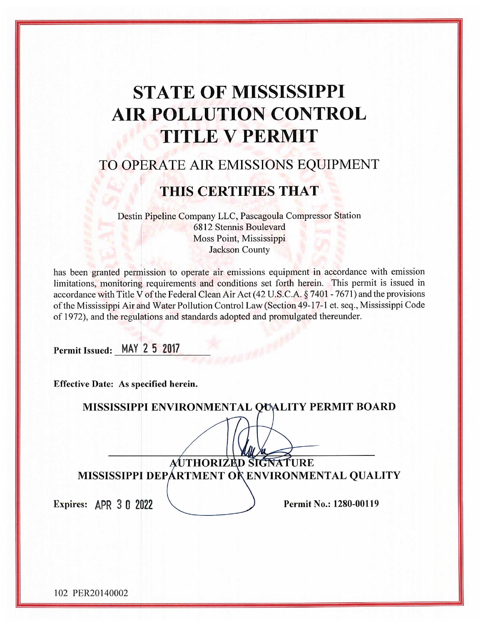# **STATE OF MISSISSIPPI AIR POLLUTION CONTROL TITLE V PERMIT**

# TO OPERATE AIR EMISSIONS EQUIPMENT

# **THIS CERTIFIES THAT**

Destin Pipeline Company LLC, Pascagoula Compressor Station 6812 Stennis Boulevard Moss Point, Mississippi **Jackson County** 

has been granted permission to operate air emissions equipment in accordance with emission limitations, monitoring requirements and conditions set forth herein. This permit is issued in accordance with Title V of the Federal Clean Air Act (42 U.S.C.A. § 7401 - 7671) and the provisions of the Mississippi Air and Water Pollution Control Law (Section 49-17-1 et. seq., Mississippi Code of 1972), and the regulations and standards adopted and promulgated thereunder.

Permit Issued: MAY 2 5 2017

**Effective Date: As specified herein.** 

|                       |                      | MISSISSIPPI ENVIRONMENTAL QUALITY PERMIT BOARD  |
|-----------------------|----------------------|-------------------------------------------------|
|                       |                      |                                                 |
|                       | AUTHORIZED SIGNATURE |                                                 |
|                       |                      | MISSISSIPPI DEPÁRTMENT OR ENVIRONMENTAL QUALITY |
| Expires: APR 3 0 2022 |                      | Permit No.: 1280-00119                          |
|                       |                      |                                                 |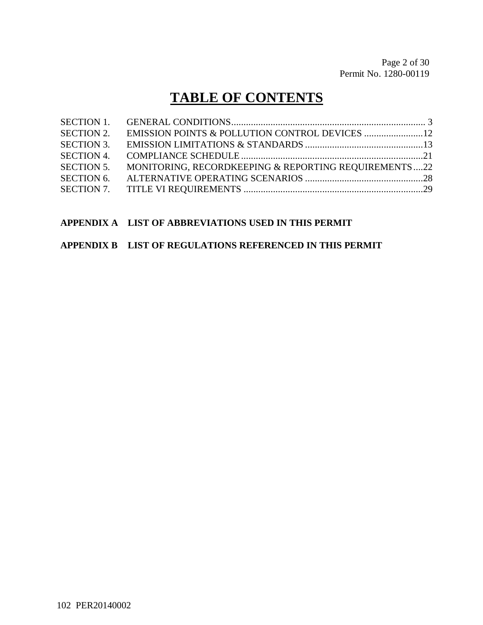# **TABLE OF CONTENTS**

| <b>SECTION 2.</b> |                                                      |  |
|-------------------|------------------------------------------------------|--|
| <b>SECTION 3.</b> |                                                      |  |
| <b>SECTION 4.</b> |                                                      |  |
| <b>SECTION 5.</b> | MONITORING, RECORDKEEPING & REPORTING REQUIREMENTS22 |  |
| <b>SECTION 6.</b> |                                                      |  |
|                   |                                                      |  |

#### **APPENDIX A LIST OF ABBREVIATIONS USED IN THIS PERMIT**

#### **APPENDIX B LIST OF REGULATIONS REFERENCED IN THIS PERMIT**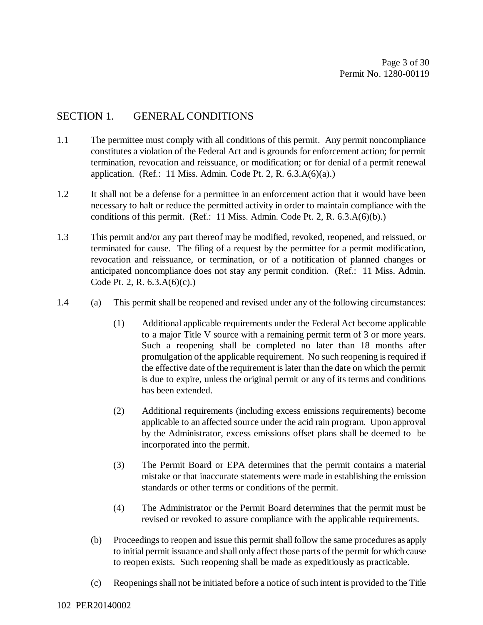#### SECTION 1. GENERAL CONDITIONS

- 1.1 The permittee must comply with all conditions of this permit. Any permit noncompliance constitutes a violation of the Federal Act and is grounds for enforcement action; for permit termination, revocation and reissuance, or modification; or for denial of a permit renewal application. (Ref.: 11 Miss. Admin. Code Pt. 2, R.  $6.3.A(6)(a)$ .)
- 1.2 It shall not be a defense for a permittee in an enforcement action that it would have been necessary to halt or reduce the permitted activity in order to maintain compliance with the conditions of this permit. (Ref.: 11 Miss. Admin. Code Pt. 2, R. 6.3.A(6)(b).)
- 1.3 This permit and/or any part thereof may be modified, revoked, reopened, and reissued, or terminated for cause. The filing of a request by the permittee for a permit modification, revocation and reissuance, or termination, or of a notification of planned changes or anticipated noncompliance does not stay any permit condition. (Ref.: 11 Miss. Admin. Code Pt. 2, R. 6.3.A(6)(c).)
- 1.4 (a) This permit shall be reopened and revised under any of the following circumstances:
	- (1) Additional applicable requirements under the Federal Act become applicable to a major Title V source with a remaining permit term of 3 or more years. Such a reopening shall be completed no later than 18 months after promulgation of the applicable requirement. No such reopening is required if the effective date of the requirement is later than the date on which the permit is due to expire, unless the original permit or any of its terms and conditions has been extended.
	- (2) Additional requirements (including excess emissions requirements) become applicable to an affected source under the acid rain program. Upon approval by the Administrator, excess emissions offset plans shall be deemed to be incorporated into the permit.
	- (3) The Permit Board or EPA determines that the permit contains a material mistake or that inaccurate statements were made in establishing the emission standards or other terms or conditions of the permit.
	- (4) The Administrator or the Permit Board determines that the permit must be revised or revoked to assure compliance with the applicable requirements.
	- (b) Proceedings to reopen and issue this permit shall follow the same procedures as apply to initial permit issuance and shall only affect those parts of the permit for which cause to reopen exists. Such reopening shall be made as expeditiously as practicable.
	- (c) Reopenings shall not be initiated before a notice of such intent is provided to the Title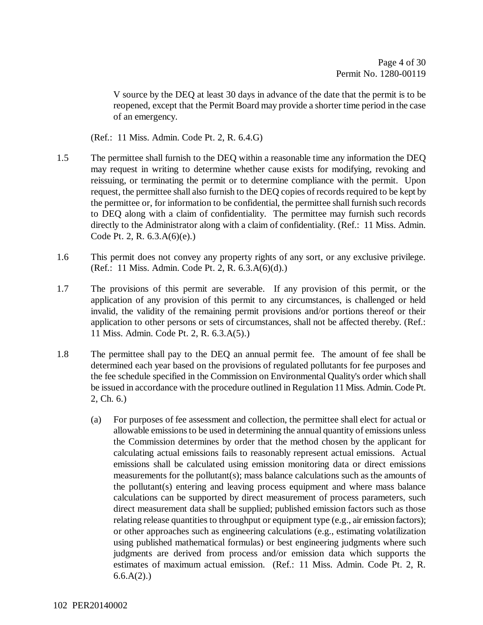V source by the DEQ at least 30 days in advance of the date that the permit is to be reopened, except that the Permit Board may provide a shorter time period in the case of an emergency.

(Ref.: 11 Miss. Admin. Code Pt. 2, R. 6.4.G)

- 1.5 The permittee shall furnish to the DEQ within a reasonable time any information the DEQ may request in writing to determine whether cause exists for modifying, revoking and reissuing, or terminating the permit or to determine compliance with the permit. Upon request, the permittee shall also furnish to the DEQ copies of records required to be kept by the permittee or, for information to be confidential, the permittee shall furnish such records to DEQ along with a claim of confidentiality. The permittee may furnish such records directly to the Administrator along with a claim of confidentiality. (Ref.: 11 Miss. Admin. Code Pt. 2, R. 6.3.A(6)(e).)
- 1.6 This permit does not convey any property rights of any sort, or any exclusive privilege. (Ref.: 11 Miss. Admin. Code Pt. 2, R. 6.3.A(6)(d).)
- 1.7 The provisions of this permit are severable. If any provision of this permit, or the application of any provision of this permit to any circumstances, is challenged or held invalid, the validity of the remaining permit provisions and/or portions thereof or their application to other persons or sets of circumstances, shall not be affected thereby. (Ref.: 11 Miss. Admin. Code Pt. 2, R. 6.3.A(5).)
- 1.8 The permittee shall pay to the DEQ an annual permit fee. The amount of fee shall be determined each year based on the provisions of regulated pollutants for fee purposes and the fee schedule specified in the Commission on Environmental Quality's order which shall be issued in accordance with the procedure outlined in Regulation 11 Miss. Admin. Code Pt. 2, Ch. 6.)
	- (a) For purposes of fee assessment and collection, the permittee shall elect for actual or allowable emissions to be used in determining the annual quantity of emissions unless the Commission determines by order that the method chosen by the applicant for calculating actual emissions fails to reasonably represent actual emissions. Actual emissions shall be calculated using emission monitoring data or direct emissions measurements for the pollutant(s); mass balance calculations such as the amounts of the pollutant(s) entering and leaving process equipment and where mass balance calculations can be supported by direct measurement of process parameters, such direct measurement data shall be supplied; published emission factors such as those relating release quantities to throughput or equipment type (e.g., air emission factors); or other approaches such as engineering calculations (e.g., estimating volatilization using published mathematical formulas) or best engineering judgments where such judgments are derived from process and/or emission data which supports the estimates of maximum actual emission. (Ref.: 11 Miss. Admin. Code Pt. 2, R.  $6.6.A(2)$ .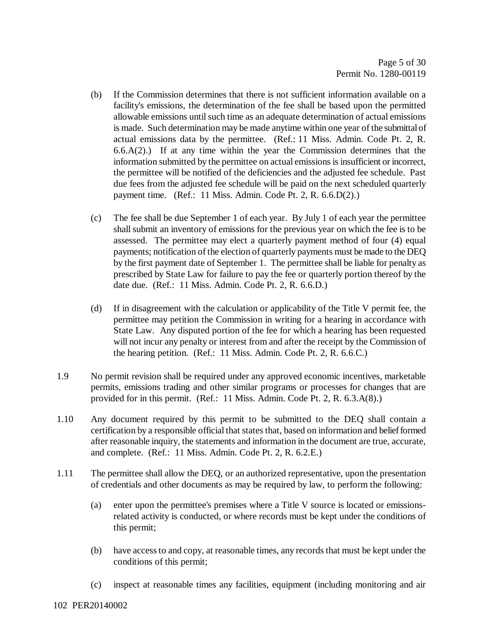- (b) If the Commission determines that there is not sufficient information available on a facility's emissions, the determination of the fee shall be based upon the permitted allowable emissions until such time as an adequate determination of actual emissions is made. Such determination may be made anytime within one year of the submittal of actual emissions data by the permittee. (Ref.: 11 Miss. Admin. Code Pt. 2, R.  $6.6(A(2))$  If at any time within the year the Commission determines that the information submitted by the permittee on actual emissions is insufficient or incorrect, the permittee will be notified of the deficiencies and the adjusted fee schedule. Past due fees from the adjusted fee schedule will be paid on the next scheduled quarterly payment time. (Ref.: 11 Miss. Admin. Code Pt. 2, R. 6.6.D(2).)
- (c) The fee shall be due September 1 of each year. By July 1 of each year the permittee shall submit an inventory of emissions for the previous year on which the fee is to be assessed. The permittee may elect a quarterly payment method of four (4) equal payments; notification of the election of quarterly payments must be made to the DEQ by the first payment date of September 1. The permittee shall be liable for penalty as prescribed by State Law for failure to pay the fee or quarterly portion thereof by the date due. (Ref.: 11 Miss. Admin. Code Pt. 2, R. 6.6.D.)
- (d) If in disagreement with the calculation or applicability of the Title V permit fee, the permittee may petition the Commission in writing for a hearing in accordance with State Law. Any disputed portion of the fee for which a hearing has been requested will not incur any penalty or interest from and after the receipt by the Commission of the hearing petition. (Ref.: 11 Miss. Admin. Code Pt. 2, R. 6.6.C.)
- 1.9 No permit revision shall be required under any approved economic incentives, marketable permits, emissions trading and other similar programs or processes for changes that are provided for in this permit. (Ref.: 11 Miss. Admin. Code Pt. 2, R. 6.3.A(8).)
- 1.10 Any document required by this permit to be submitted to the DEQ shall contain a certification by a responsible official that states that, based on information and belief formed after reasonable inquiry, the statements and information in the document are true, accurate, and complete. (Ref.: 11 Miss. Admin. Code Pt. 2, R. 6.2.E.)
- 1.11 The permittee shall allow the DEQ, or an authorized representative, upon the presentation of credentials and other documents as may be required by law, to perform the following:
	- (a) enter upon the permittee's premises where a Title V source is located or emissionsrelated activity is conducted, or where records must be kept under the conditions of this permit;
	- (b) have access to and copy, at reasonable times, any records that must be kept under the conditions of this permit;
	- (c) inspect at reasonable times any facilities, equipment (including monitoring and air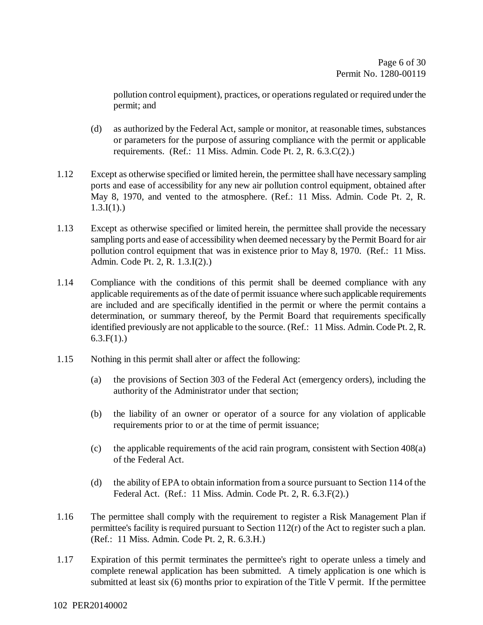pollution control equipment), practices, or operations regulated or required under the permit; and

- (d) as authorized by the Federal Act, sample or monitor, at reasonable times, substances or parameters for the purpose of assuring compliance with the permit or applicable requirements. (Ref.: 11 Miss. Admin. Code Pt. 2, R. 6.3.C(2).)
- 1.12 Except as otherwise specified or limited herein, the permittee shall have necessary sampling ports and ease of accessibility for any new air pollution control equipment, obtained after May 8, 1970, and vented to the atmosphere. (Ref.: 11 Miss. Admin. Code Pt. 2, R.  $1.3.I(1)$ .)
- 1.13 Except as otherwise specified or limited herein, the permittee shall provide the necessary sampling ports and ease of accessibility when deemed necessary by the Permit Board for air pollution control equipment that was in existence prior to May 8, 1970. (Ref.: 11 Miss. Admin. Code Pt. 2, R. 1.3.I(2).)
- 1.14 Compliance with the conditions of this permit shall be deemed compliance with any applicable requirements as of the date of permit issuance where such applicable requirements are included and are specifically identified in the permit or where the permit contains a determination, or summary thereof, by the Permit Board that requirements specifically identified previously are not applicable to the source. (Ref.: 11 Miss. Admin. Code Pt. 2, R.  $6.3.F(1)$ .)
- 1.15 Nothing in this permit shall alter or affect the following:
	- (a) the provisions of Section 303 of the Federal Act (emergency orders), including the authority of the Administrator under that section;
	- (b) the liability of an owner or operator of a source for any violation of applicable requirements prior to or at the time of permit issuance;
	- (c) the applicable requirements of the acid rain program, consistent with Section 408(a) of the Federal Act.
	- (d) the ability of EPA to obtain information from a source pursuant to Section 114 of the Federal Act. (Ref.: 11 Miss. Admin. Code Pt. 2, R. 6.3.F(2).)
- 1.16 The permittee shall comply with the requirement to register a Risk Management Plan if permittee's facility is required pursuant to Section 112(r) of the Act to register such a plan. (Ref.: 11 Miss. Admin. Code Pt. 2, R. 6.3.H.)
- 1.17 Expiration of this permit terminates the permittee's right to operate unless a timely and complete renewal application has been submitted. A timely application is one which is submitted at least six (6) months prior to expiration of the Title V permit. If the permittee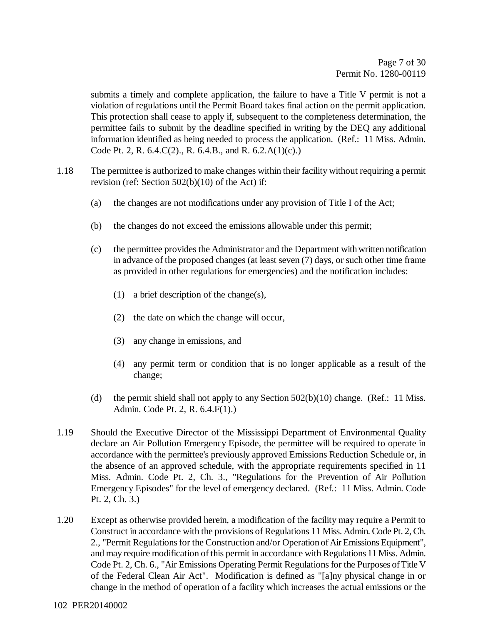submits a timely and complete application, the failure to have a Title V permit is not a violation of regulations until the Permit Board takes final action on the permit application. This protection shall cease to apply if, subsequent to the completeness determination, the permittee fails to submit by the deadline specified in writing by the DEQ any additional information identified as being needed to process the application. (Ref.: 11 Miss. Admin. Code Pt. 2, R. 6.4.C(2)., R. 6.4.B., and R. 6.2.A(1)(c).)

- 1.18 The permittee is authorized to make changes within their facility without requiring a permit revision (ref: Section 502(b)(10) of the Act) if:
	- (a) the changes are not modifications under any provision of Title I of the Act;
	- (b) the changes do not exceed the emissions allowable under this permit;
	- (c) the permittee provides the Administrator and the Department with written notification in advance of the proposed changes (at least seven (7) days, or such other time frame as provided in other regulations for emergencies) and the notification includes:
		- (1) a brief description of the change(s),
		- (2) the date on which the change will occur,
		- (3) any change in emissions, and
		- (4) any permit term or condition that is no longer applicable as a result of the change;
	- (d) the permit shield shall not apply to any Section  $502(b)(10)$  change. (Ref.: 11 Miss. Admin. Code Pt. 2, R. 6.4.F(1).)
- 1.19 Should the Executive Director of the Mississippi Department of Environmental Quality declare an Air Pollution Emergency Episode, the permittee will be required to operate in accordance with the permittee's previously approved Emissions Reduction Schedule or, in the absence of an approved schedule, with the appropriate requirements specified in 11 Miss. Admin. Code Pt. 2, Ch. 3., "Regulations for the Prevention of Air Pollution Emergency Episodes" for the level of emergency declared. (Ref.: 11 Miss. Admin. Code Pt. 2, Ch. 3.)
- 1.20 Except as otherwise provided herein, a modification of the facility may require a Permit to Construct in accordance with the provisions of Regulations 11 Miss. Admin. Code Pt. 2, Ch. 2., "Permit Regulations for the Construction and/or Operation of Air Emissions Equipment", and may require modification of this permit in accordance with Regulations 11 Miss. Admin. Code Pt. 2, Ch. 6., "Air Emissions Operating Permit Regulations for the Purposes of Title V of the Federal Clean Air Act". Modification is defined as "[a]ny physical change in or change in the method of operation of a facility which increases the actual emissions or the
- 102 PER20140002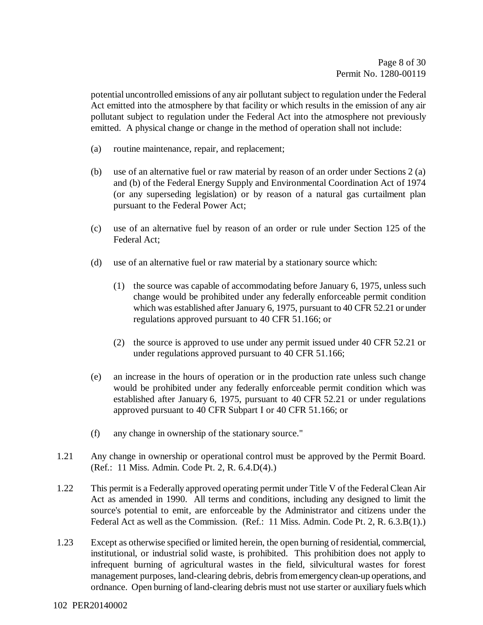potential uncontrolled emissions of any air pollutant subject to regulation under the Federal Act emitted into the atmosphere by that facility or which results in the emission of any air pollutant subject to regulation under the Federal Act into the atmosphere not previously emitted. A physical change or change in the method of operation shall not include:

- (a) routine maintenance, repair, and replacement;
- (b) use of an alternative fuel or raw material by reason of an order under Sections 2 (a) and (b) of the Federal Energy Supply and Environmental Coordination Act of 1974 (or any superseding legislation) or by reason of a natural gas curtailment plan pursuant to the Federal Power Act;
- (c) use of an alternative fuel by reason of an order or rule under Section 125 of the Federal Act;
- (d) use of an alternative fuel or raw material by a stationary source which:
	- (1) the source was capable of accommodating before January 6, 1975, unless such change would be prohibited under any federally enforceable permit condition which was established after January 6, 1975, pursuant to 40 CFR 52.21 or under regulations approved pursuant to 40 CFR 51.166; or
	- (2) the source is approved to use under any permit issued under 40 CFR 52.21 or under regulations approved pursuant to 40 CFR 51.166;
- (e) an increase in the hours of operation or in the production rate unless such change would be prohibited under any federally enforceable permit condition which was established after January 6, 1975, pursuant to 40 CFR 52.21 or under regulations approved pursuant to 40 CFR Subpart I or 40 CFR 51.166; or
- (f) any change in ownership of the stationary source."
- 1.21 Any change in ownership or operational control must be approved by the Permit Board. (Ref.: 11 Miss. Admin. Code Pt. 2, R. 6.4.D(4).)
- 1.22 This permit is a Federally approved operating permit under Title V of the Federal Clean Air Act as amended in 1990. All terms and conditions, including any designed to limit the source's potential to emit, are enforceable by the Administrator and citizens under the Federal Act as well as the Commission. (Ref.: 11 Miss. Admin. Code Pt. 2, R. 6.3.B(1).)
- 1.23 Except as otherwise specified or limited herein, the open burning of residential, commercial, institutional, or industrial solid waste, is prohibited. This prohibition does not apply to infrequent burning of agricultural wastes in the field, silvicultural wastes for forest management purposes, land-clearing debris, debris from emergency clean-up operations, and ordnance. Open burning of land-clearing debris must not use starter or auxiliary fuels which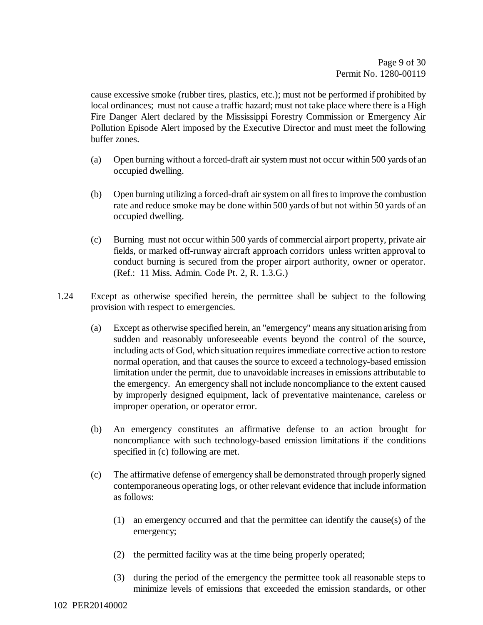cause excessive smoke (rubber tires, plastics, etc.); must not be performed if prohibited by local ordinances; must not cause a traffic hazard; must not take place where there is a High Fire Danger Alert declared by the Mississippi Forestry Commission or Emergency Air Pollution Episode Alert imposed by the Executive Director and must meet the following buffer zones.

- (a) Open burning without a forced-draft air system must not occur within 500 yards of an occupied dwelling.
- (b) Open burning utilizing a forced-draft air system on all fires to improve the combustion rate and reduce smoke may be done within 500 yards of but not within 50 yards of an occupied dwelling.
- (c) Burning must not occur within 500 yards of commercial airport property, private air fields, or marked off-runway aircraft approach corridors unless written approval to conduct burning is secured from the proper airport authority, owner or operator. (Ref.: 11 Miss. Admin. Code Pt. 2, R. 1.3.G.)
- 1.24 Except as otherwise specified herein, the permittee shall be subject to the following provision with respect to emergencies.
	- (a) Except as otherwise specified herein, an "emergency" means any situation arising from sudden and reasonably unforeseeable events beyond the control of the source, including acts of God, which situation requires immediate corrective action to restore normal operation, and that causes the source to exceed a technology-based emission limitation under the permit, due to unavoidable increases in emissions attributable to the emergency. An emergency shall not include noncompliance to the extent caused by improperly designed equipment, lack of preventative maintenance, careless or improper operation, or operator error.
	- (b) An emergency constitutes an affirmative defense to an action brought for noncompliance with such technology-based emission limitations if the conditions specified in (c) following are met.
	- (c) The affirmative defense of emergency shall be demonstrated through properly signed contemporaneous operating logs, or other relevant evidence that include information as follows:
		- (1) an emergency occurred and that the permittee can identify the cause(s) of the emergency;
		- (2) the permitted facility was at the time being properly operated;
		- (3) during the period of the emergency the permittee took all reasonable steps to minimize levels of emissions that exceeded the emission standards, or other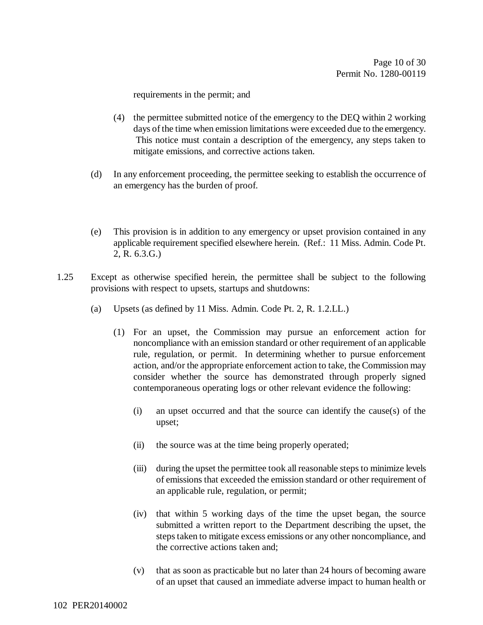requirements in the permit; and

- (4) the permittee submitted notice of the emergency to the DEQ within 2 working days of the time when emission limitations were exceeded due to the emergency. This notice must contain a description of the emergency, any steps taken to mitigate emissions, and corrective actions taken.
- (d) In any enforcement proceeding, the permittee seeking to establish the occurrence of an emergency has the burden of proof.
- (e) This provision is in addition to any emergency or upset provision contained in any applicable requirement specified elsewhere herein. (Ref.: 11 Miss. Admin. Code Pt. 2, R. 6.3.G.)
- 1.25 Except as otherwise specified herein, the permittee shall be subject to the following provisions with respect to upsets, startups and shutdowns:
	- (a) Upsets (as defined by 11 Miss. Admin. Code Pt. 2, R. 1.2.LL.)
		- (1) For an upset, the Commission may pursue an enforcement action for noncompliance with an emission standard or other requirement of an applicable rule, regulation, or permit. In determining whether to pursue enforcement action, and/or the appropriate enforcement action to take, the Commission may consider whether the source has demonstrated through properly signed contemporaneous operating logs or other relevant evidence the following:
			- (i) an upset occurred and that the source can identify the cause(s) of the upset;
			- (ii) the source was at the time being properly operated;
			- (iii) during the upset the permittee took all reasonable steps to minimize levels of emissions that exceeded the emission standard or other requirement of an applicable rule, regulation, or permit;
			- (iv) that within 5 working days of the time the upset began, the source submitted a written report to the Department describing the upset, the steps taken to mitigate excess emissions or any other noncompliance, and the corrective actions taken and;
			- (v) that as soon as practicable but no later than 24 hours of becoming aware of an upset that caused an immediate adverse impact to human health or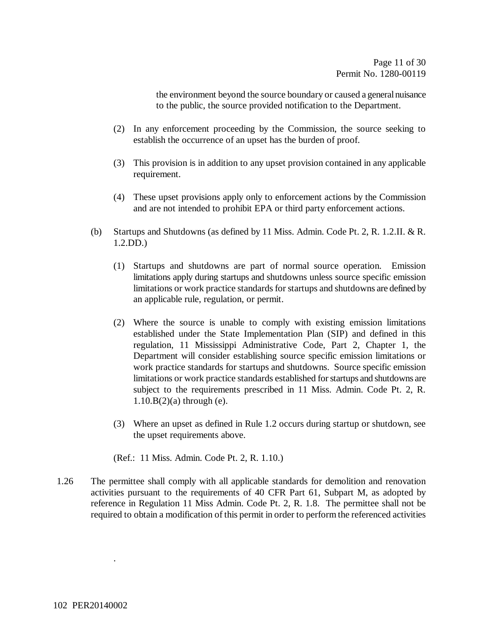the environment beyond the source boundary or caused a general nuisance to the public, the source provided notification to the Department.

- (2) In any enforcement proceeding by the Commission, the source seeking to establish the occurrence of an upset has the burden of proof.
- (3) This provision is in addition to any upset provision contained in any applicable requirement.
- (4) These upset provisions apply only to enforcement actions by the Commission and are not intended to prohibit EPA or third party enforcement actions.
- (b) Startups and Shutdowns (as defined by 11 Miss. Admin. Code Pt. 2, R. 1.2.II. & R. 1.2.DD.)
	- (1) Startups and shutdowns are part of normal source operation. Emission limitations apply during startups and shutdowns unless source specific emission limitations or work practice standards for startups and shutdowns are defined by an applicable rule, regulation, or permit.
	- (2) Where the source is unable to comply with existing emission limitations established under the State Implementation Plan (SIP) and defined in this regulation, 11 Mississippi Administrative Code, Part 2, Chapter 1, the Department will consider establishing source specific emission limitations or work practice standards for startups and shutdowns. Source specific emission limitations or work practice standards established for startups and shutdowns are subject to the requirements prescribed in 11 Miss. Admin. Code Pt. 2, R. 1.10.B(2)(a) through (e).
	- (3) Where an upset as defined in Rule 1.2 occurs during startup or shutdown, see the upset requirements above.

(Ref.: 11 Miss. Admin. Code Pt. 2, R. 1.10.)

1.26 The permittee shall comply with all applicable standards for demolition and renovation activities pursuant to the requirements of 40 CFR Part 61, Subpart M, as adopted by reference in Regulation 11 Miss Admin. Code Pt. 2, R. 1.8. The permittee shall not be required to obtain a modification of this permit in order to perform the referenced activities

.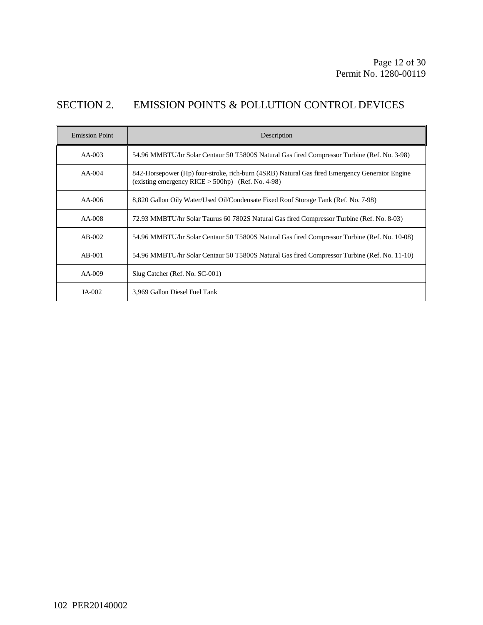### SECTION 2. EMISSION POINTS & POLLUTION CONTROL DEVICES

| <b>Emission Point</b> | Description                                                                                                                                           |
|-----------------------|-------------------------------------------------------------------------------------------------------------------------------------------------------|
| $AA-003$              | 54.96 MMBTU/hr Solar Centaur 50 T5800S Natural Gas fired Compressor Turbine (Ref. No. 3-98)                                                           |
| $AA-004$              | 842-Horsepower (Hp) four-stroke, rich-burn (4SRB) Natural Gas fired Emergency Generator Engine<br>(existing emergency RICE $>$ 500hp) (Ref. No. 4-98) |
| $AA-006$              | 8,820 Gallon Oily Water/Used Oil/Condensate Fixed Roof Storage Tank (Ref. No. 7-98)                                                                   |
| $AA-008$              | 72.93 MMBTU/hr Solar Taurus 60 7802S Natural Gas fired Compressor Turbine (Ref. No. 8-03)                                                             |
| $AB-002$              | 54.96 MMBTU/hr Solar Centaur 50 T5800S Natural Gas fired Compressor Turbine (Ref. No. 10-08)                                                          |
| $AB-001$              | 54.96 MMBTU/hr Solar Centaur 50 T5800S Natural Gas fired Compressor Turbine (Ref. No. 11-10)                                                          |
| $AA-009$              | Slug Catcher (Ref. No. SC-001)                                                                                                                        |
| $IA-002$              | 3,969 Gallon Diesel Fuel Tank                                                                                                                         |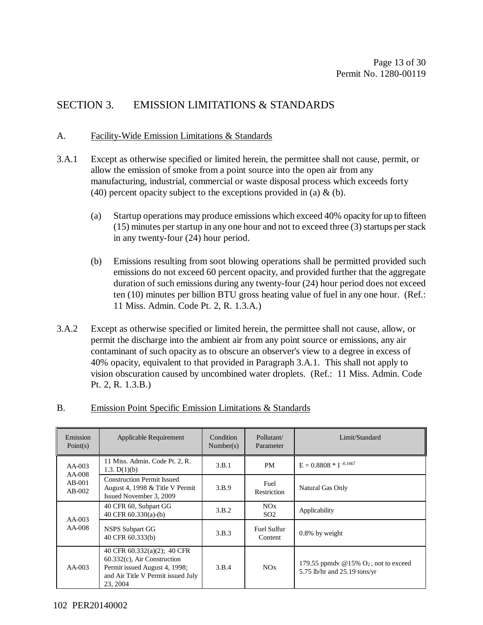#### SECTION 3. EMISSION LIMITATIONS & STANDARDS

#### A. Facility-Wide Emission Limitations & Standards

- 3.A.1 Except as otherwise specified or limited herein, the permittee shall not cause, permit, or allow the emission of smoke from a point source into the open air from any manufacturing, industrial, commercial or waste disposal process which exceeds forty (40) percent opacity subject to the exceptions provided in (a)  $\&$  (b).
	- (a) Startup operations may produce emissions which exceed 40% opacity for up to fifteen (15) minutes per startup in any one hour and not to exceed three (3) startups per stack in any twenty-four (24) hour period.
	- (b) Emissions resulting from soot blowing operations shall be permitted provided such emissions do not exceed 60 percent opacity, and provided further that the aggregate duration of such emissions during any twenty-four (24) hour period does not exceed ten (10) minutes per billion BTU gross heating value of fuel in any one hour. (Ref.: 11 Miss. Admin. Code Pt. 2, R. 1.3.A.)
- 3.A.2 Except as otherwise specified or limited herein, the permittee shall not cause, allow, or permit the discharge into the ambient air from any point source or emissions, any air contaminant of such opacity as to obscure an observer's view to a degree in excess of 40% opacity, equivalent to that provided in Paragraph 3.A.1. This shall not apply to vision obscuration caused by uncombined water droplets. (Ref.: 11 Miss. Admin. Code Pt. 2, R. 1.3.B.)

| Emission<br>Point(s)             | Applicable Requirement                                                                                                                           | Condition<br>Number(s) | Pollutant/<br>Parameter       | Limit/Standard                                                                      |
|----------------------------------|--------------------------------------------------------------------------------------------------------------------------------------------------|------------------------|-------------------------------|-------------------------------------------------------------------------------------|
| $AA-003$                         | 11 Miss. Admin. Code Pt. 2, R.<br>1.3. $D(1)(b)$                                                                                                 | 3.B.1                  | PM                            | $E = 0.8808 * I^{-0.1667}$                                                          |
| $AA-008$<br>$AB-001$<br>$AB-002$ | <b>Construction Permit Issued</b><br>August 4, 1998 & Title V Permit<br>Issued November 3, 2009                                                  | 3.B.9                  | Fuel<br>Restriction           | Natural Gas Only                                                                    |
| AA-003<br>AA-008                 | 40 CFR 60, Subpart GG<br>40 CFR $60.330(a)$ -(b)                                                                                                 | 3.B.2                  | NOx<br>SO <sub>2</sub>        | Applicability                                                                       |
|                                  | <b>NSPS Subpart GG</b><br>40 CFR 60.333(b)                                                                                                       | 3.B.3                  | <b>Fuel Sulfur</b><br>Content | $0.8\%$ by weight                                                                   |
| $AA-003$                         | 40 CFR 60.332(a)(2); 40 CFR<br>$60.332(c)$ , Air Construction<br>Permit issued August 4, 1998;<br>and Air Title V Permit issued July<br>23, 2004 | 3.B.4                  | NOx                           | 179.55 ppmdy $@15\%$ O <sub>2</sub> , not to exceed<br>5.75 lb/hr and 25.19 tons/yr |

#### B. Emission Point Specific Emission Limitations & Standards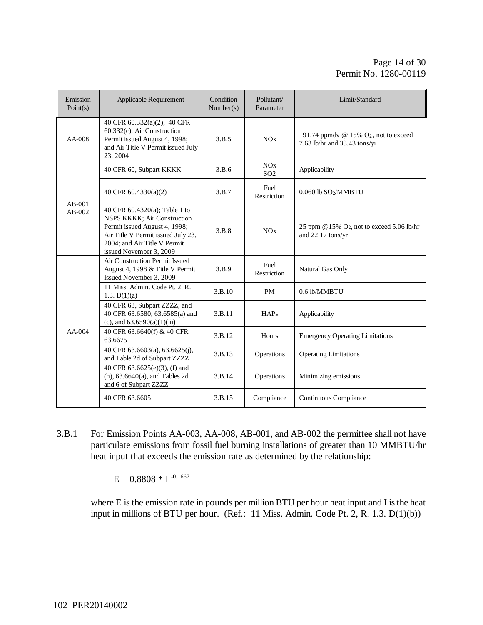| Emission<br>Point(s) | Applicable Requirement                                                                                                                                                                         | Condition<br>Number(s) | Pollutant/<br>Parameter | Limit/Standard                                                             |
|----------------------|------------------------------------------------------------------------------------------------------------------------------------------------------------------------------------------------|------------------------|-------------------------|----------------------------------------------------------------------------|
| $AA-008$             | 40 CFR 60.332(a)(2); 40 CFR<br>60.332(c), Air Construction<br>Permit issued August 4, 1998;<br>and Air Title V Permit issued July<br>23, 2004                                                  | 3.B.5                  | NOx                     | 191.74 ppmdy @ 15% $O_2$ , not to exceed<br>7.63 lb/hr and 33.43 tons/yr   |
|                      | 40 CFR 60, Subpart KKKK                                                                                                                                                                        | 3.B.6                  | NOx<br>SO <sub>2</sub>  | Applicability                                                              |
| $AB-001$<br>$AB-002$ | 40 CFR 60.4330(a)(2)                                                                                                                                                                           | 3.B.7                  | Fuel<br>Restriction     | 0.060 lb SO2/MMBTU                                                         |
|                      | 40 CFR 60.4320(a); Table 1 to<br>NSPS KKKK; Air Construction<br>Permit issued August 4, 1998;<br>Air Title V Permit issued July 23,<br>2004; and Air Title V Permit<br>issued November 3, 2009 | 3.B.8                  | NOx                     | 25 ppm @15% O <sub>2</sub> , not to exceed 5.06 lb/hr<br>and 22.17 tons/yr |
| $AA-004$             | Air Construction Permit Issued<br>August 4, 1998 & Title V Permit<br>Issued November 3, 2009                                                                                                   | 3.B.9                  | Fuel<br>Restriction     | Natural Gas Only                                                           |
|                      | 11 Miss. Admin. Code Pt. 2, R.<br>1.3. $D(1)(a)$                                                                                                                                               | 3.B.10                 | <b>PM</b>               | 0.6 lb/MMBTU                                                               |
|                      | 40 CFR 63, Subpart ZZZZ; and<br>40 CFR 63.6580, 63.6585(a) and<br>(c), and $63.6590(a)(1)(iii)$                                                                                                | 3.B.11                 | HAPs                    | Applicability                                                              |
|                      | 40 CFR 63.6640(f) & 40 CFR<br>63.6675                                                                                                                                                          | 3.B.12                 | Hours                   | <b>Emergency Operating Limitations</b>                                     |
|                      | 40 CFR 63.6603(a), 63.6625(j),<br>and Table 2d of Subpart ZZZZ                                                                                                                                 | 3.B.13                 | Operations              | <b>Operating Limitations</b>                                               |
|                      | 40 CFR 63.6625(e)(3), (f) and<br>(h), $63.6640(a)$ , and Tables 2d<br>and 6 of Subpart ZZZZ                                                                                                    | 3.B.14                 | Operations              | Minimizing emissions                                                       |
|                      | 40 CFR 63.6605                                                                                                                                                                                 | 3.B.15                 | Compliance              | Continuous Compliance                                                      |

3.B.1 For Emission Points AA-003, AA-008, AB-001, and AB-002 the permittee shall not have particulate emissions from fossil fuel burning installations of greater than 10 MMBTU/hr heat input that exceeds the emission rate as determined by the relationship:

 $E = 0.8808 * I^{-0.1667}$ 

where E is the emission rate in pounds per million BTU per hour heat input and I is the heat input in millions of BTU per hour. (Ref.: 11 Miss. Admin. Code Pt. 2, R. 1.3. D(1)(b))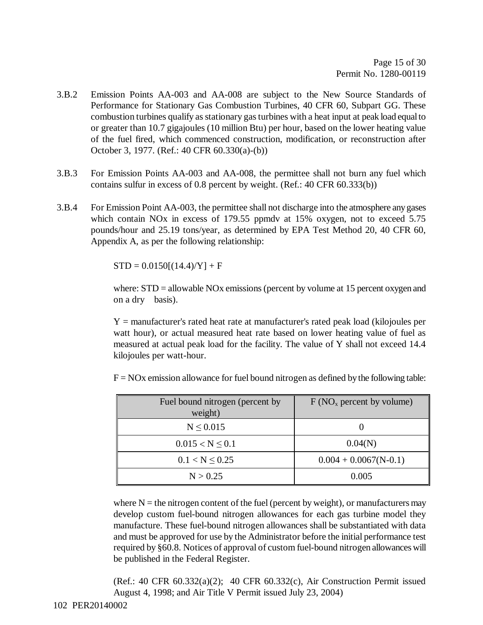- 3.B.2 Emission Points AA-003 and AA-008 are subject to the New Source Standards of Performance for Stationary Gas Combustion Turbines, 40 CFR 60, Subpart GG. These combustion turbines qualify as stationary gas turbines with a heat input at peak load equal to or greater than 10.7 gigajoules (10 million Btu) per hour, based on the lower heating value of the fuel fired, which commenced construction, modification, or reconstruction after October 3, 1977. (Ref.: 40 CFR 60.330(a)-(b))
- 3.B.3 For Emission Points AA-003 and AA-008, the permittee shall not burn any fuel which contains sulfur in excess of 0.8 percent by weight. (Ref.: 40 CFR 60.333(b))
- 3.B.4 For Emission Point AA-003, the permittee shall not discharge into the atmosphere any gases which contain NO<sub>x</sub> in excess of 179.55 ppmdy at 15% oxygen, not to exceed 5.75 pounds/hour and 25.19 tons/year, as determined by EPA Test Method 20, 40 CFR 60, Appendix A, as per the following relationship:

 $STD = 0.0150[(14.4)/Y] + F$ 

where:  $STD =$  allowable NOx emissions (percent by volume at 15 percent oxygen and on a dry basis).

 $Y =$  manufacturer's rated heat rate at manufacturer's rated peak load (kilojoules per watt hour), or actual measured heat rate based on lower heating value of fuel as measured at actual peak load for the facility. The value of Y shall not exceed 14.4 kilojoules per watt-hour.

| Fuel bound nitrogen (percent by<br>weight) | $F(NOx$ percent by volume) |
|--------------------------------------------|----------------------------|
| $N \leq 0.015$                             |                            |
| $0.015 < N \leq 0.1$                       | 0.04(N)                    |
| $0.1 < N \leq 0.25$                        | $0.004 + 0.0067(N-0.1)$    |
| N > 0.25                                   | 0.005                      |

 $F = NOx$  emission allowance for fuel bound nitrogen as defined by the following table:

where  $N =$  the nitrogen content of the fuel (percent by weight), or manufacturers may develop custom fuel-bound nitrogen allowances for each gas turbine model they manufacture. These fuel-bound nitrogen allowances shall be substantiated with data and must be approved for use by the Administrator before the initial performance test required by §60.8. Notices of approval of custom fuel-bound nitrogen allowances will be published in the Federal Register.

(Ref.: 40 CFR 60.332(a)(2); 40 CFR 60.332(c), Air Construction Permit issued August 4, 1998; and Air Title V Permit issued July 23, 2004)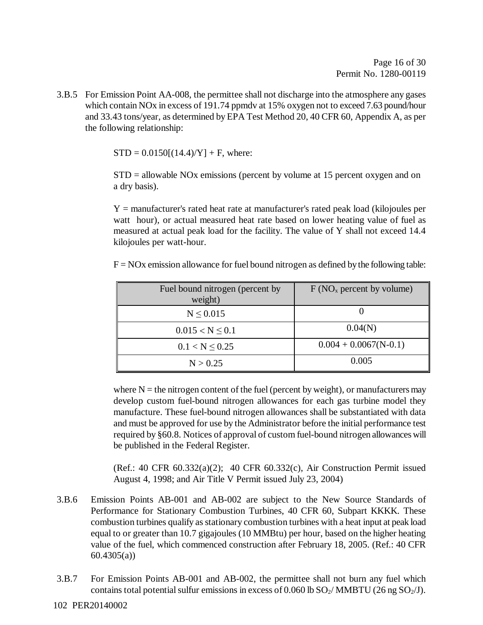3.B.5 For Emission Point AA-008, the permittee shall not discharge into the atmosphere any gases which contain NO<sub>x</sub> in excess of 191.74 ppmdy at 15% oxygen not to exceed 7.63 pound/hour and 33.43 tons/year, as determined by EPA Test Method 20, 40 CFR 60, Appendix A, as per the following relationship:

 $STD = 0.0150[(14.4)/Y] + F$ , where:

STD = allowable NOx emissions (percent by volume at 15 percent oxygen and on a dry basis).

Y = manufacturer's rated heat rate at manufacturer's rated peak load (kilojoules per watt hour), or actual measured heat rate based on lower heating value of fuel as measured at actual peak load for the facility. The value of Y shall not exceed 14.4 kilojoules per watt-hour.

 $F = NOx$  emission allowance for fuel bound nitrogen as defined by the following table:

| Fuel bound nitrogen (percent by<br>weight) | F(NO <sub>x</sub> percent by volume) |
|--------------------------------------------|--------------------------------------|
| $N \leq 0.015$                             |                                      |
| $0.015 < N \leq 0.1$                       | 0.04(N)                              |
| $0.1 < N \leq 0.25$                        | $0.004 + 0.0067(N-0.1)$              |
| N > 0.25                                   | 0.005                                |

where  $N =$  the nitrogen content of the fuel (percent by weight), or manufacturers may develop custom fuel-bound nitrogen allowances for each gas turbine model they manufacture. These fuel-bound nitrogen allowances shall be substantiated with data and must be approved for use by the Administrator before the initial performance test required by §60.8. Notices of approval of custom fuel-bound nitrogen allowances will be published in the Federal Register.

(Ref.: 40 CFR 60.332(a)(2); 40 CFR 60.332(c), Air Construction Permit issued August 4, 1998; and Air Title V Permit issued July 23, 2004)

- 3.B.6 Emission Points AB-001 and AB-002 are subject to the New Source Standards of Performance for Stationary Combustion Turbines, 40 CFR 60, Subpart KKKK. These combustion turbines qualify as stationary combustion turbines with a heat input at peak load equal to or greater than 10.7 gigajoules (10 MMBtu) per hour, based on the higher heating value of the fuel, which commenced construction after February 18, 2005. (Ref.: 40 CFR 60.4305(a))
- 3.B.7 For Emission Points AB-001 and AB-002, the permittee shall not burn any fuel which contains total potential sulfur emissions in excess of 0.060 lb  $SO_2/MMBTU$  (26 ng  $SO_2/J$ ).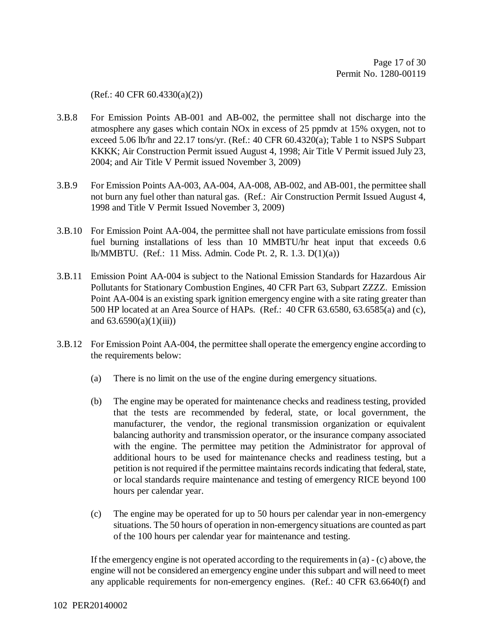(Ref.: 40 CFR 60.4330(a)(2))

- 3.B.8 For Emission Points AB-001 and AB-002, the permittee shall not discharge into the atmosphere any gases which contain NOx in excess of 25 ppmdv at 15% oxygen, not to exceed 5.06 lb/hr and 22.17 tons/yr. (Ref.: 40 CFR 60.4320(a); Table 1 to NSPS Subpart KKKK; Air Construction Permit issued August 4, 1998; Air Title V Permit issued July 23, 2004; and Air Title V Permit issued November 3, 2009)
- 3.B.9 For Emission Points AA-003, AA-004, AA-008, AB-002, and AB-001, the permittee shall not burn any fuel other than natural gas. (Ref.: Air Construction Permit Issued August 4, 1998 and Title V Permit Issued November 3, 2009)
- 3.B.10 For Emission Point AA-004, the permittee shall not have particulate emissions from fossil fuel burning installations of less than 10 MMBTU/hr heat input that exceeds 0.6 lb/MMBTU. (Ref.: 11 Miss. Admin. Code Pt. 2, R. 1.3. D(1)(a))
- 3.B.11 Emission Point AA-004 is subject to the National Emission Standards for Hazardous Air Pollutants for Stationary Combustion Engines, 40 CFR Part 63, Subpart ZZZZ. Emission Point AA-004 is an existing spark ignition emergency engine with a site rating greater than 500 HP located at an Area Source of HAPs. (Ref.: 40 CFR 63.6580, 63.6585(a) and (c), and  $63.6590(a)(1)(iii)$
- 3.B.12 For Emission Point AA-004, the permittee shall operate the emergency engine according to the requirements below:
	- (a) There is no limit on the use of the engine during emergency situations.
	- (b) The engine may be operated for maintenance checks and readiness testing, provided that the tests are recommended by federal, state, or local government, the manufacturer, the vendor, the regional transmission organization or equivalent balancing authority and transmission operator, or the insurance company associated with the engine. The permittee may petition the Administrator for approval of additional hours to be used for maintenance checks and readiness testing, but a petition is not required if the permittee maintains records indicating that federal, state, or local standards require maintenance and testing of emergency RICE beyond 100 hours per calendar year.
	- (c) The engine may be operated for up to 50 hours per calendar year in non-emergency situations. The 50 hours of operation in non-emergency situations are counted as part of the 100 hours per calendar year for maintenance and testing.

If the emergency engine is not operated according to the requirements in (a) - (c) above, the engine will not be considered an emergency engine under this subpart and will need to meet any applicable requirements for non-emergency engines. (Ref.: 40 CFR 63.6640(f) and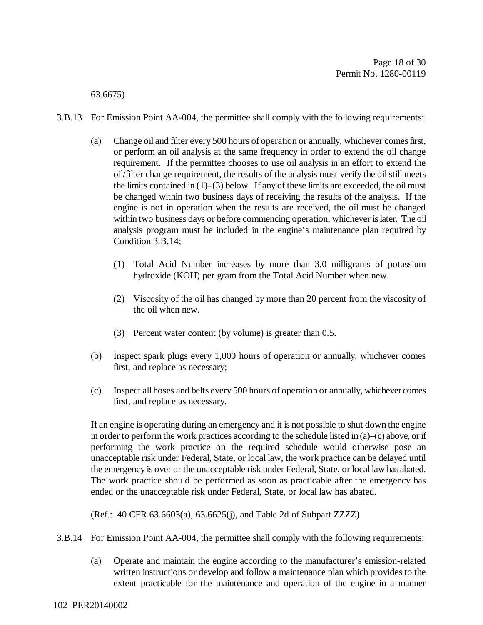63.6675)

- 3.B.13 For Emission Point AA-004, the permittee shall comply with the following requirements:
	- (a) Change oil and filter every 500 hours of operation or annually, whichever comes first, or perform an oil analysis at the same frequency in order to extend the oil change requirement. If the permittee chooses to use oil analysis in an effort to extend the oil/filter change requirement, the results of the analysis must verify the oil still meets the limits contained in  $(1)$ – $(3)$  below. If any of these limits are exceeded, the oil must be changed within two business days of receiving the results of the analysis. If the engine is not in operation when the results are received, the oil must be changed within two business days or before commencing operation, whichever is later. The oil analysis program must be included in the engine's maintenance plan required by Condition 3.B.14;
		- (1) Total Acid Number increases by more than 3.0 milligrams of potassium hydroxide (KOH) per gram from the Total Acid Number when new.
		- (2) Viscosity of the oil has changed by more than 20 percent from the viscosity of the oil when new.
		- (3) Percent water content (by volume) is greater than 0.5.
	- (b) Inspect spark plugs every 1,000 hours of operation or annually, whichever comes first, and replace as necessary;
	- (c) Inspect all hoses and belts every 500 hours of operation or annually, whichever comes first, and replace as necessary.

If an engine is operating during an emergency and it is not possible to shut down the engine in order to perform the work practices according to the schedule listed in (a)–(c) above, or if performing the work practice on the required schedule would otherwise pose an unacceptable risk under Federal, State, or local law, the work practice can be delayed until the emergency is over or the unacceptable risk under Federal, State, or local law has abated. The work practice should be performed as soon as practicable after the emergency has ended or the unacceptable risk under Federal, State, or local law has abated.

(Ref.: 40 CFR 63.6603(a), 63.6625(j), and Table 2d of Subpart ZZZZ)

- 3.B.14 For Emission Point AA-004, the permittee shall comply with the following requirements:
	- (a) Operate and maintain the engine according to the manufacturer's emission-related written instructions or develop and follow a maintenance plan which provides to the extent practicable for the maintenance and operation of the engine in a manner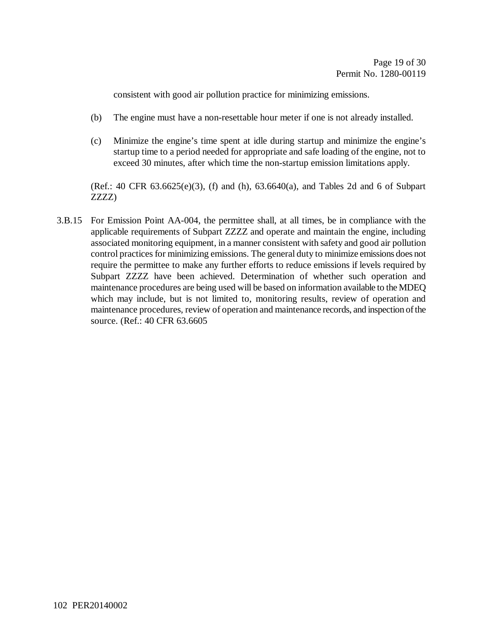consistent with good air pollution practice for minimizing emissions.

- (b) The engine must have a non-resettable hour meter if one is not already installed.
- (c) Minimize the engine's time spent at idle during startup and minimize the engine's startup time to a period needed for appropriate and safe loading of the engine, not to exceed 30 minutes, after which time the non-startup emission limitations apply.

(Ref.: 40 CFR 63.6625(e)(3), (f) and (h), 63.6640(a), and Tables 2d and 6 of Subpart ZZZZ)

3.B.15 For Emission Point AA-004, the permittee shall, at all times, be in compliance with the applicable requirements of Subpart ZZZZ and operate and maintain the engine, including associated monitoring equipment, in a manner consistent with safety and good air pollution control practices for minimizing emissions. The general duty to minimize emissions does not require the permittee to make any further efforts to reduce emissions if levels required by Subpart ZZZZ have been achieved. Determination of whether such operation and maintenance procedures are being used will be based on information available to the MDEQ which may include, but is not limited to, monitoring results, review of operation and maintenance procedures, review of operation and maintenance records, and inspection of the source. (Ref.: 40 CFR 63.6605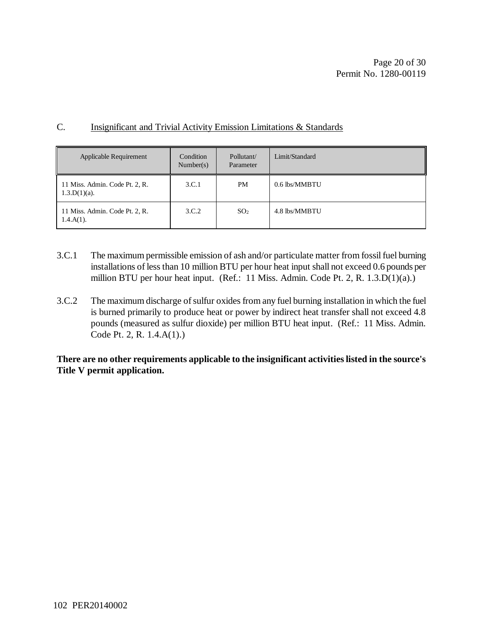#### C. Insignificant and Trivial Activity Emission Limitations & Standards

| Applicable Requirement                            | Condition<br>Number(s) | Pollutant/<br>Parameter | Limit/Standard |
|---------------------------------------------------|------------------------|-------------------------|----------------|
| 11 Miss. Admin. Code Pt. 2, R.<br>$1.3.D(1)(a)$ . | 3.C.1                  | PM                      | 0.6 lbs/MMBTU  |
| 11 Miss. Admin. Code Pt. 2, R.<br>$1.4.A(1)$ .    | 3.C.2                  | SO <sub>2</sub>         | 4.8 lbs/MMBTU  |

- 3.C.1 The maximum permissible emission of ash and/or particulate matter from fossil fuel burning installations of less than 10 million BTU per hour heat input shall not exceed 0.6 pounds per million BTU per hour heat input. (Ref.: 11 Miss. Admin. Code Pt. 2, R. 1.3.D(1)(a).)
- 3.C.2 The maximum discharge of sulfur oxides from any fuel burning installation in which the fuel is burned primarily to produce heat or power by indirect heat transfer shall not exceed 4.8 pounds (measured as sulfur dioxide) per million BTU heat input. (Ref.: 11 Miss. Admin. Code Pt. 2, R. 1.4.A(1).)

**There are no other requirements applicable to the insignificant activities listed in the source's Title V permit application.**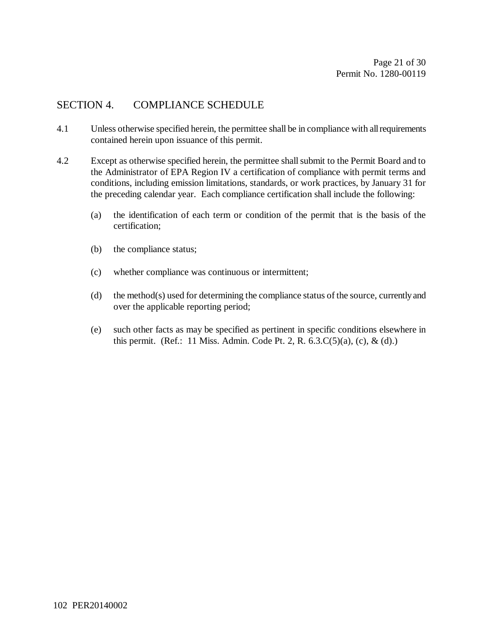#### SECTION 4. COMPLIANCE SCHEDULE

- 4.1 Unless otherwise specified herein, the permittee shall be in compliance with all requirements contained herein upon issuance of this permit.
- 4.2 Except as otherwise specified herein, the permittee shall submit to the Permit Board and to the Administrator of EPA Region IV a certification of compliance with permit terms and conditions, including emission limitations, standards, or work practices, by January 31 for the preceding calendar year. Each compliance certification shall include the following:
	- (a) the identification of each term or condition of the permit that is the basis of the certification;
	- (b) the compliance status;
	- (c) whether compliance was continuous or intermittent;
	- (d) the method(s) used for determining the compliance status of the source, currently and over the applicable reporting period;
	- (e) such other facts as may be specified as pertinent in specific conditions elsewhere in this permit. (Ref.: 11 Miss. Admin. Code Pt. 2, R.  $(6.3.C(5)(a), (c), \& (d).)$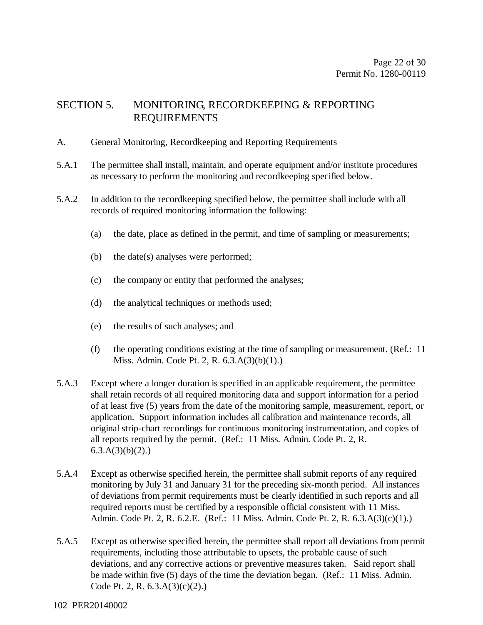#### SECTION 5. MONITORING, RECORDKEEPING & REPORTING REQUIREMENTS

#### A. General Monitoring, Recordkeeping and Reporting Requirements

- 5.A.1 The permittee shall install, maintain, and operate equipment and/or institute procedures as necessary to perform the monitoring and recordkeeping specified below.
- 5.A.2 In addition to the recordkeeping specified below, the permittee shall include with all records of required monitoring information the following:
	- (a) the date, place as defined in the permit, and time of sampling or measurements;
	- (b) the date(s) analyses were performed;
	- (c) the company or entity that performed the analyses;
	- (d) the analytical techniques or methods used;
	- (e) the results of such analyses; and
	- (f) the operating conditions existing at the time of sampling or measurement. (Ref.: 11 Miss. Admin. Code Pt. 2, R. 6.3.A(3)(b)(1).)
- 5.A.3 Except where a longer duration is specified in an applicable requirement, the permittee shall retain records of all required monitoring data and support information for a period of at least five (5) years from the date of the monitoring sample, measurement, report, or application. Support information includes all calibration and maintenance records, all original strip-chart recordings for continuous monitoring instrumentation, and copies of all reports required by the permit. (Ref.: 11 Miss. Admin. Code Pt. 2, R.  $6.3.A(3)(b)(2)$ .
- 5.A.4 Except as otherwise specified herein, the permittee shall submit reports of any required monitoring by July 31 and January 31 for the preceding six-month period. All instances of deviations from permit requirements must be clearly identified in such reports and all required reports must be certified by a responsible official consistent with 11 Miss. Admin. Code Pt. 2, R. 6.2.E. (Ref.: 11 Miss. Admin. Code Pt. 2, R. 6.3.A(3)(c)(1).)
- 5.A.5 Except as otherwise specified herein, the permittee shall report all deviations from permit requirements, including those attributable to upsets, the probable cause of such deviations, and any corrective actions or preventive measures taken. Said report shall be made within five (5) days of the time the deviation began. (Ref.: 11 Miss. Admin. Code Pt. 2, R. 6.3.A(3)(c)(2).)

#### 102 PER20140002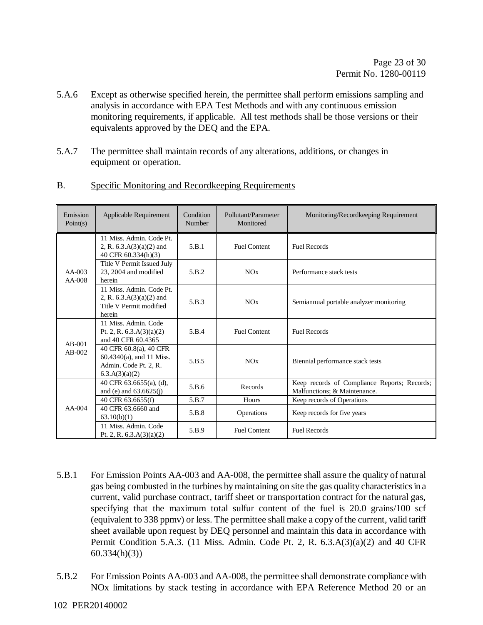- 5.A.6 Except as otherwise specified herein, the permittee shall perform emissions sampling and analysis in accordance with EPA Test Methods and with any continuous emission monitoring requirements, if applicable. All test methods shall be those versions or their equivalents approved by the DEQ and the EPA.
- 5.A.7 The permittee shall maintain records of any alterations, additions, or changes in equipment or operation.

| Emission<br>Point(s) | Applicable Requirement                                                                           | Condition<br>Number | Pollutant/Parameter<br>Monitored | Monitoring/Recordkeeping Requirement                                         |
|----------------------|--------------------------------------------------------------------------------------------------|---------------------|----------------------------------|------------------------------------------------------------------------------|
|                      | 11 Miss. Admin. Code Pt.<br>2, R. $6.3.A(3)(a)(2)$ and<br>40 CFR 60.334(h)(3)                    | 5.B.1               | <b>Fuel Content</b>              | <b>Fuel Records</b>                                                          |
| $AA-003$<br>$AA-008$ | Title V Permit Issued July<br>23, 2004 and modified<br>herein                                    | 5.B.2               | NOx                              | Performance stack tests                                                      |
|                      | 11 Miss. Admin. Code Pt.<br>2, R. $6.3.A(3)(a)(2)$ and<br>Title V Permit modified<br>herein      | 5.B.3               | NOx                              | Semiannual portable analyzer monitoring                                      |
| $AB-001$<br>$AB-002$ | 11 Miss. Admin. Code<br>Pt. 2, R. $6.3.A(3)(a)(2)$<br>and 40 CFR 60.4365                         | 5.B.4               | <b>Fuel Content</b>              | <b>Fuel Records</b>                                                          |
|                      | 40 CFR 60.8(a), 40 CFR<br>$60.4340(a)$ , and 11 Miss.<br>Admin. Code Pt. 2, R.<br>6.3.A(3)(a)(2) | 5.B.5               | NOx                              | Biennial performance stack tests                                             |
| $AA-004$             | 40 CFR $63.6655(a)$ , (d),<br>and (e) and $63.6625(j)$                                           | 5.B.6               | Records                          | Keep records of Compliance Reports; Records;<br>Malfunctions; & Maintenance. |
|                      | 40 CFR 63.6655(f)                                                                                | 5.B.7               | Hours                            | Keep records of Operations                                                   |
|                      | 40 CFR 63,6660 and<br>63.10(b)(1)                                                                | 5.B.8               | <b>Operations</b>                | Keep records for five years                                                  |
|                      | 11 Miss. Admin. Code<br>Pt. 2, R. $6.3.A(3)(a)(2)$                                               | 5.B.9               | <b>Fuel Content</b>              | <b>Fuel Records</b>                                                          |

B. Specific Monitoring and Recordkeeping Requirements

- 5.B.1 For Emission Points AA-003 and AA-008, the permittee shall assure the quality of natural gas being combusted in the turbines by maintaining on site the gas quality characteristics in a current, valid purchase contract, tariff sheet or transportation contract for the natural gas, specifying that the maximum total sulfur content of the fuel is 20.0 grains/100 scf (equivalent to 338 ppmv) or less. The permittee shall make a copy of the current, valid tariff sheet available upon request by DEQ personnel and maintain this data in accordance with Permit Condition 5.A.3. (11 Miss. Admin. Code Pt. 2, R. 6.3.A(3)(a)(2) and 40 CFR 60.334(h)(3))
- 5.B.2 For Emission Points AA-003 and AA-008, the permittee shall demonstrate compliance with NOx limitations by stack testing in accordance with EPA Reference Method 20 or an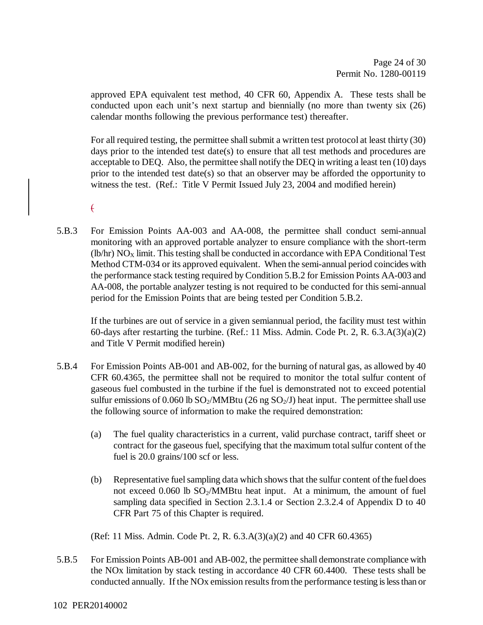approved EPA equivalent test method, 40 CFR 60, Appendix A. These tests shall be conducted upon each unit's next startup and biennially (no more than twenty six (26) calendar months following the previous performance test) thereafter.

For all required testing, the permittee shall submit a written test protocol at least thirty (30) days prior to the intended test date(s) to ensure that all test methods and procedures are acceptable to DEQ. Also, the permittee shall notify the DEQ in writing a least ten (10) days prior to the intended test date(s) so that an observer may be afforded the opportunity to witness the test. (Ref.: Title V Permit Issued July 23, 2004 and modified herein)

 $\epsilon$ 

5.B.3 For Emission Points AA-003 and AA-008, the permittee shall conduct semi-annual monitoring with an approved portable analyzer to ensure compliance with the short-term (lb/hr)  $NO<sub>x</sub>$  limit. This testing shall be conducted in accordance with EPA Conditional Test Method CTM-034 or its approved equivalent. When the semi-annual period coincides with the performance stack testing required by Condition 5.B.2 for Emission Points AA-003 and AA-008, the portable analyzer testing is not required to be conducted for this semi-annual period for the Emission Points that are being tested per Condition 5.B.2.

If the turbines are out of service in a given semiannual period, the facility must test within 60-days after restarting the turbine. (Ref.: 11 Miss. Admin. Code Pt. 2, R. 6.3.A(3)(a)(2) and Title V Permit modified herein)

- 5.B.4 For Emission Points AB-001 and AB-002, for the burning of natural gas, as allowed by 40 CFR 60.4365, the permittee shall not be required to monitor the total sulfur content of gaseous fuel combusted in the turbine if the fuel is demonstrated not to exceed potential sulfur emissions of 0.060 lb  $SO_2/MM$ Btu (26 ng  $SO_2/J$ ) heat input. The permittee shall use the following source of information to make the required demonstration:
	- (a) The fuel quality characteristics in a current, valid purchase contract, tariff sheet or contract for the gaseous fuel, specifying that the maximum total sulfur content of the fuel is 20.0 grains/100 scf or less.
	- (b) Representative fuel sampling data which shows that the sulfur content of the fuel does not exceed  $0.060$  lb  $SO<sub>2</sub>/MMB$ tu heat input. At a minimum, the amount of fuel sampling data specified in Section 2.3.1.4 or Section 2.3.2.4 of Appendix D to 40 CFR Part 75 of this Chapter is required.

(Ref: 11 Miss. Admin. Code Pt. 2, R. 6.3.A(3)(a)(2) and 40 CFR 60.4365)

5.B.5 For Emission Points AB-001 and AB-002, the permittee shall demonstrate compliance with the NOx limitation by stack testing in accordance 40 CFR 60.4400. These tests shall be conducted annually. If the NOx emission results from the performance testing is less than or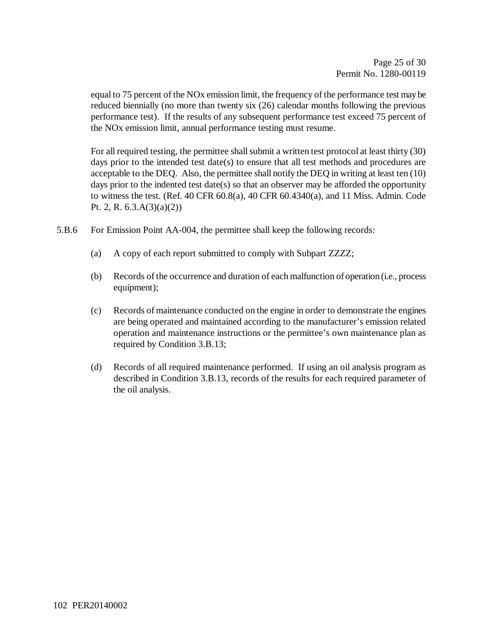equal to 75 percent of the NOx emission limit, the frequency of the performance test may be reduced biennially (no more than twenty six (26) calendar months following the previous performance test). If the results of any subsequent performance test exceed 75 percent of the NOx emission limit, annual performance testing must resume.

For all required testing, the permittee shall submit a written test protocol at least thirty (30) days prior to the intended test date(s) to ensure that all test methods and procedures are acceptable to the DEQ. Also, the permittee shall notify the DEQ in writing at least ten (10) days prior to the indented test date(s) so that an observer may be afforded the opportunity to witness the test. (Ref. 40 CFR  $60.8(a)$ , 40 CFR  $60.4340(a)$ , and 11 Miss. Admin. Code Pt. 2, R. 6.3.A(3)(a)(2))

- 5.B.6 For Emission Point AA-004, the permittee shall keep the following records:
	- (a) A copy of each report submitted to comply with Subpart ZZZZ;
	- (b) Records of the occurrence and duration of each malfunction of operation (i.e., process equipment);
	- (c) Records of maintenance conducted on the engine in order to demonstrate the engines are being operated and maintained according to the manufacturer's emission related operation and maintenance instructions or the permittee's own maintenance plan as required by Condition 3.B.13;
	- (d) Records of all required maintenance performed. If using an oil analysis program as described in Condition 3.B.13, records of the results for each required parameter of the oil analysis.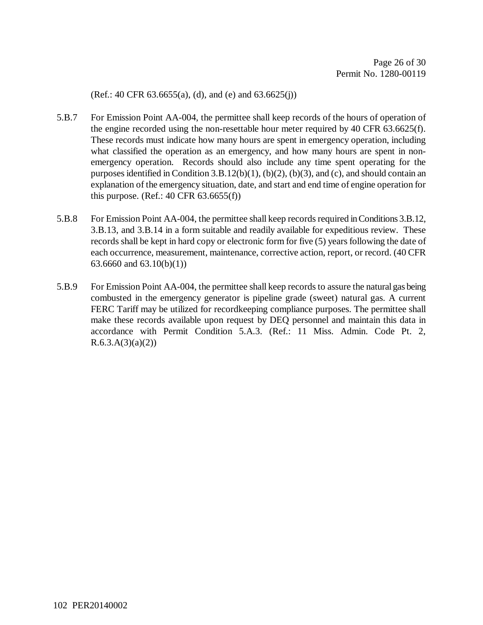(Ref.: 40 CFR 63.6655(a), (d), and (e) and 63.6625(j))

- 5.B.7 For Emission Point AA-004, the permittee shall keep records of the hours of operation of the engine recorded using the non-resettable hour meter required by 40 CFR 63.6625(f). These records must indicate how many hours are spent in emergency operation, including what classified the operation as an emergency, and how many hours are spent in nonemergency operation. Records should also include any time spent operating for the purposes identified in Condition 3.B.12(b)(1), (b)(2), (b)(3), and (c), and should contain an explanation of the emergency situation, date, and start and end time of engine operation for this purpose. (Ref.: 40 CFR 63.6655(f))
- 5.B.8 For Emission Point AA-004, the permittee shall keep records required in Conditions 3.B.12, 3.B.13, and 3.B.14 in a form suitable and readily available for expeditious review. These records shall be kept in hard copy or electronic form for five (5) years following the date of each occurrence, measurement, maintenance, corrective action, report, or record. (40 CFR 63.6660 and 63.10(b)(1))
- 5.B.9 For Emission Point AA-004, the permittee shall keep records to assure the natural gas being combusted in the emergency generator is pipeline grade (sweet) natural gas. A current FERC Tariff may be utilized for recordkeeping compliance purposes. The permittee shall make these records available upon request by DEQ personnel and maintain this data in accordance with Permit Condition 5.A.3. (Ref.: 11 Miss. Admin. Code Pt. 2,  $R.6.3.A(3)(a)(2))$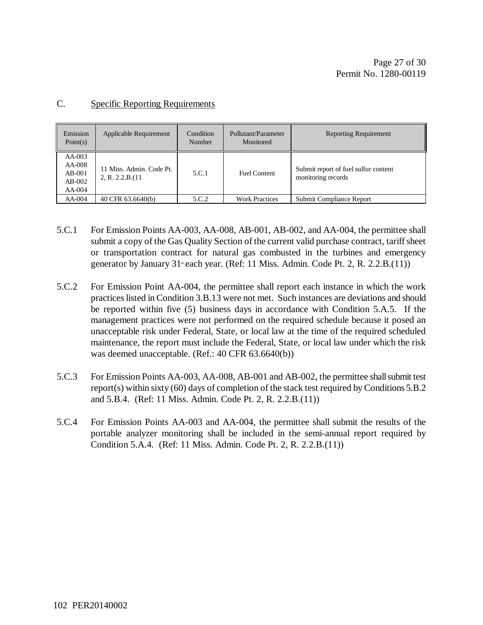| Emission<br>Point(s)                                     | Applicable Requirement                       | Condition<br><b>Number</b> | Pollutant/Parameter<br>Monitored | <b>Reporting Requirement</b>                               |
|----------------------------------------------------------|----------------------------------------------|----------------------------|----------------------------------|------------------------------------------------------------|
| $AA-003$<br>$AA-008$<br>$AB-001$<br>$AB-002$<br>$AA-004$ | 11 Miss. Admin. Code Pt.<br>2, R. 2.2.B.(11) | 5.C.1                      | <b>Fuel Content</b>              | Submit report of fuel sulfur content<br>monitoring records |
| $AA-004$                                                 | 40 CFR 63.6640(b)                            | 5.C.2                      | <b>Work Practices</b>            | Submit Compliance Report                                   |

#### C. Specific Reporting Requirements

- 5.C.1 For Emission Points AA-003, AA-008, AB-001, AB-002, and AA-004, the permittee shall submit a copy of the Gas Quality Section of the current valid purchase contract, tariff sheet or transportation contract for natural gas combusted in the turbines and emergency generator by January  $31$ <sup>st</sup> each year. (Ref: 11 Miss. Admin. Code Pt. 2, R. 2.2.B.(11))
- 5.C.2 For Emission Point AA-004, the permittee shall report each instance in which the work practices listed in Condition 3.B.13 were not met. Such instances are deviations and should be reported within five (5) business days in accordance with Condition 5.A.5. If the management practices were not performed on the required schedule because it posed an unacceptable risk under Federal, State, or local law at the time of the required scheduled maintenance, the report must include the Federal, State, or local law under which the risk was deemed unacceptable. (Ref.: 40 CFR 63.6640(b))
- 5.C.3 For Emission Points AA-003, AA-008, AB-001 and AB-002, the permittee shall submit test report(s) within sixty (60) days of completion of the stack test required by Conditions 5.B.2 and 5.B.4. (Ref: 11 Miss. Admin. Code Pt. 2, R. 2.2.B.(11))
- 5.C.4 For Emission Points AA-003 and AA-004, the permittee shall submit the results of the portable analyzer monitoring shall be included in the semi-annual report required by Condition 5.A.4. (Ref: 11 Miss. Admin. Code Pt. 2, R. 2.2.B.(11))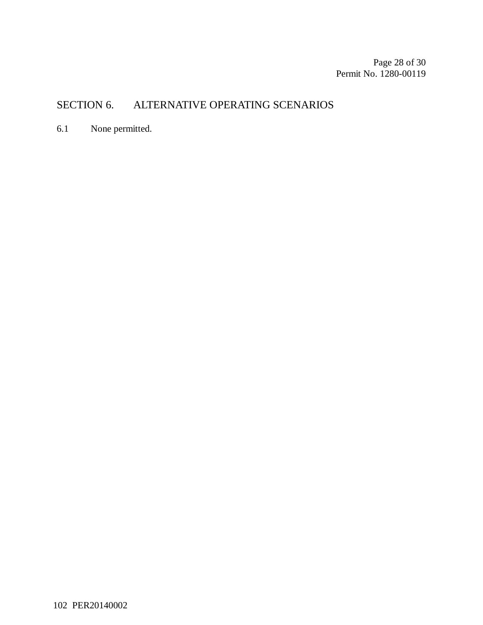Page 28 of 30 Permit No. 1280-00119

# SECTION 6. ALTERNATIVE OPERATING SCENARIOS

6.1 None permitted.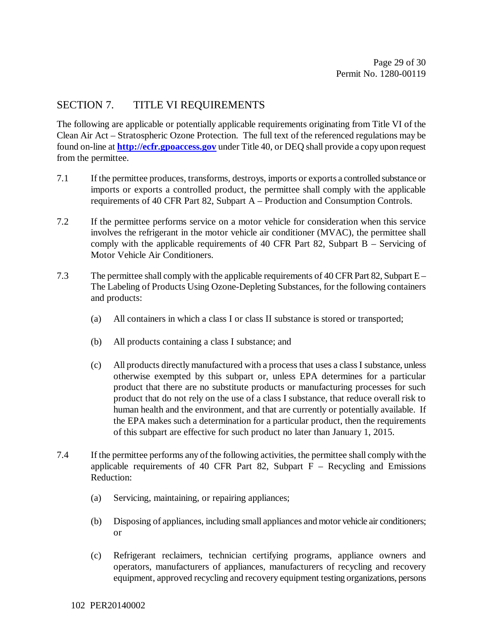#### SECTION 7. TITLE VI REQUIREMENTS

The following are applicable or potentially applicable requirements originating from Title VI of the Clean Air Act – Stratospheric Ozone Protection. The full text of the referenced regulations may be found on-line at **http://ecfr.gpoaccess.gov** under Title 40, or DEQ shall provide a copy upon request from the permittee.

- 7.1 If the permittee produces, transforms, destroys, imports or exports a controlled substance or imports or exports a controlled product, the permittee shall comply with the applicable requirements of 40 CFR Part 82, Subpart A – Production and Consumption Controls.
- 7.2 If the permittee performs service on a motor vehicle for consideration when this service involves the refrigerant in the motor vehicle air conditioner (MVAC), the permittee shall comply with the applicable requirements of 40 CFR Part 82, Subpart B – Servicing of Motor Vehicle Air Conditioners.
- 7.3 The permittee shall comply with the applicable requirements of 40 CFR Part 82, Subpart E The Labeling of Products Using Ozone-Depleting Substances, for the following containers and products:
	- (a) All containers in which a class I or class II substance is stored or transported;
	- (b) All products containing a class I substance; and
	- (c) All products directly manufactured with a process that uses a class I substance, unless otherwise exempted by this subpart or, unless EPA determines for a particular product that there are no substitute products or manufacturing processes for such product that do not rely on the use of a class I substance, that reduce overall risk to human health and the environment, and that are currently or potentially available. If the EPA makes such a determination for a particular product, then the requirements of this subpart are effective for such product no later than January 1, 2015.
- 7.4 If the permittee performs any of the following activities, the permittee shall comply with the applicable requirements of 40 CFR Part 82, Subpart  $F -$  Recycling and Emissions Reduction:
	- (a) Servicing, maintaining, or repairing appliances;
	- (b) Disposing of appliances, including small appliances and motor vehicle air conditioners; or
	- (c) Refrigerant reclaimers, technician certifying programs, appliance owners and operators, manufacturers of appliances, manufacturers of recycling and recovery equipment, approved recycling and recovery equipment testing organizations, persons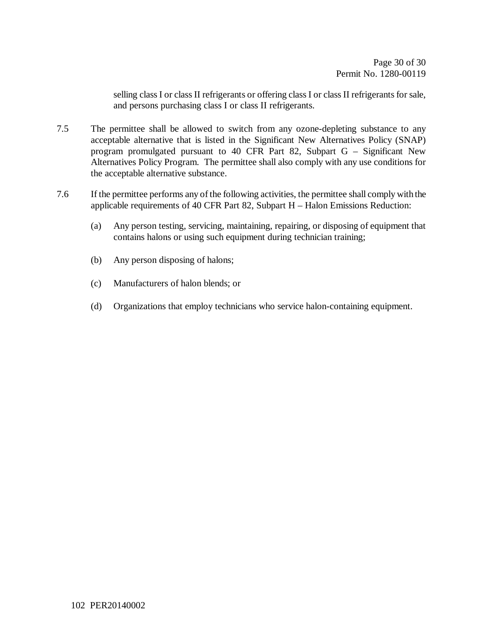selling class I or class II refrigerants or offering class I or class II refrigerants for sale, and persons purchasing class I or class II refrigerants.

- 7.5 The permittee shall be allowed to switch from any ozone-depleting substance to any acceptable alternative that is listed in the Significant New Alternatives Policy (SNAP) program promulgated pursuant to 40 CFR Part 82, Subpart G – Significant New Alternatives Policy Program. The permittee shall also comply with any use conditions for the acceptable alternative substance.
- 7.6 If the permittee performs any of the following activities, the permittee shall comply with the applicable requirements of 40 CFR Part 82, Subpart H – Halon Emissions Reduction:
	- (a) Any person testing, servicing, maintaining, repairing, or disposing of equipment that contains halons or using such equipment during technician training;
	- (b) Any person disposing of halons;
	- (c) Manufacturers of halon blends; or
	- (d) Organizations that employ technicians who service halon-containing equipment.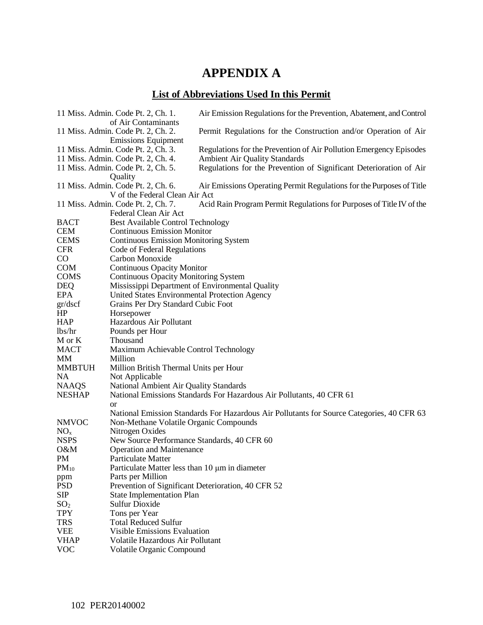# **APPENDIX A**

# **List of Abbreviations Used In this Permit**

|                           | 11 Miss. Admin. Code Pt. 2, Ch. 1.<br>of Air Contaminants                | Air Emission Regulations for the Prevention, Abatement, and Control                                        |
|---------------------------|--------------------------------------------------------------------------|------------------------------------------------------------------------------------------------------------|
|                           | 11 Miss. Admin. Code Pt. 2, Ch. 2.                                       | Permit Regulations for the Construction and/or Operation of Air                                            |
|                           | <b>Emissions Equipment</b>                                               |                                                                                                            |
|                           | 11 Miss. Admin. Code Pt. 2, Ch. 3.<br>11 Miss. Admin. Code Pt. 2, Ch. 4. | Regulations for the Prevention of Air Pollution Emergency Episodes<br><b>Ambient Air Quality Standards</b> |
|                           | 11 Miss. Admin. Code Pt. 2, Ch. 5.                                       | Regulations for the Prevention of Significant Deterioration of Air                                         |
|                           | Quality                                                                  |                                                                                                            |
|                           | 11 Miss. Admin. Code Pt. 2, Ch. 6.                                       | Air Emissions Operating Permit Regulations for the Purposes of Title                                       |
|                           | V of the Federal Clean Air Act                                           |                                                                                                            |
|                           | 11 Miss. Admin. Code Pt. 2, Ch. 7.                                       | Acid Rain Program Permit Regulations for Purposes of Title IV of the                                       |
|                           | Federal Clean Air Act                                                    |                                                                                                            |
| <b>BACT</b>               | Best Available Control Technology                                        |                                                                                                            |
| <b>CEM</b>                | <b>Continuous Emission Monitor</b>                                       |                                                                                                            |
| <b>CEMS</b>               | <b>Continuous Emission Monitoring System</b>                             |                                                                                                            |
| <b>CFR</b>                | Code of Federal Regulations                                              |                                                                                                            |
| $\rm CO$                  | Carbon Monoxide                                                          |                                                                                                            |
| <b>COM</b>                | <b>Continuous Opacity Monitor</b>                                        |                                                                                                            |
| <b>COMS</b>               | <b>Continuous Opacity Monitoring System</b>                              |                                                                                                            |
| <b>DEQ</b>                | Mississippi Department of Environmental Quality                          |                                                                                                            |
| EPA                       | United States Environmental Protection Agency                            |                                                                                                            |
| gr/dscf<br>HP             | Grains Per Dry Standard Cubic Foot<br>Horsepower                         |                                                                                                            |
| <b>HAP</b>                | Hazardous Air Pollutant                                                  |                                                                                                            |
| lbs/hr                    | Pounds per Hour                                                          |                                                                                                            |
| M or K                    | Thousand                                                                 |                                                                                                            |
| <b>MACT</b>               | Maximum Achievable Control Technology                                    |                                                                                                            |
| MМ                        | Million                                                                  |                                                                                                            |
| <b>MMBTUH</b>             | Million British Thermal Units per Hour                                   |                                                                                                            |
| NA                        | Not Applicable                                                           |                                                                                                            |
| <b>NAAQS</b>              | <b>National Ambient Air Quality Standards</b>                            |                                                                                                            |
| <b>NESHAP</b>             |                                                                          | National Emissions Standards For Hazardous Air Pollutants, 40 CFR 61                                       |
|                           | <b>or</b>                                                                |                                                                                                            |
|                           |                                                                          | National Emission Standards For Hazardous Air Pollutants for Source Categories, 40 CFR 63                  |
| <b>NMVOC</b>              | Non-Methane Volatile Organic Compounds                                   |                                                                                                            |
| NO <sub>x</sub>           | Nitrogen Oxides                                                          |                                                                                                            |
| <b>NSPS</b>               | New Source Performance Standards, 40 CFR 60                              |                                                                                                            |
| O&M                       | <b>Operation and Maintenance</b>                                         |                                                                                                            |
| PM                        | Particulate Matter                                                       |                                                                                                            |
| $PM_{10}$                 | Particulate Matter less than 10 µm in diameter                           |                                                                                                            |
| ppm                       | Parts per Million                                                        |                                                                                                            |
| <b>PSD</b>                | Prevention of Significant Deterioration, 40 CFR 52                       |                                                                                                            |
| <b>SIP</b>                | <b>State Implementation Plan</b>                                         |                                                                                                            |
| SO <sub>2</sub>           | <b>Sulfur Dioxide</b>                                                    |                                                                                                            |
| <b>TPY</b>                | Tons per Year<br><b>Total Reduced Sulfur</b>                             |                                                                                                            |
| <b>TRS</b>                |                                                                          |                                                                                                            |
| <b>VEE</b><br><b>VHAP</b> | <b>Visible Emissions Evaluation</b><br>Volatile Hazardous Air Pollutant  |                                                                                                            |
| <b>VOC</b>                | Volatile Organic Compound                                                |                                                                                                            |
|                           |                                                                          |                                                                                                            |